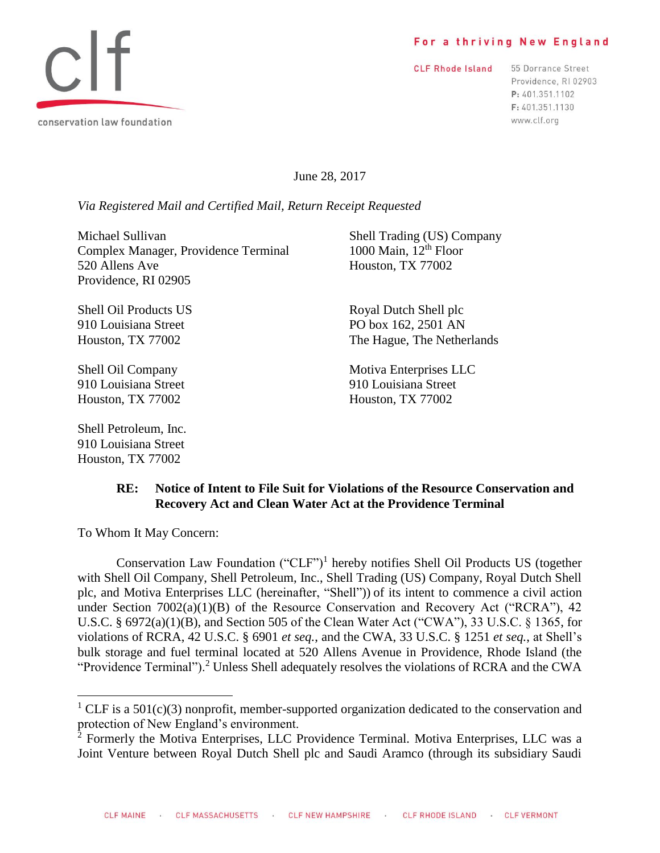#### For a thriving New England

**CLF Rhode Island** 

55 Dorrance Street Providence, RI 02903 P: 401.351.1102 F: 401.351.1130 www.clf.org

June 28, 2017

*Via Registered Mail and Certified Mail, Return Receipt Requested*

Michael Sullivan Shell Trading (US) Company<br>
Complex Manager, Providence Terminal 1000 Main, 12<sup>th</sup> Floor Complex Manager, Providence Terminal 520 Allens Ave Houston, TX 77002 Providence, RI 02905

Houston, TX 77002 Houston, TX 77002

Shell Petroleum, Inc. 910 Louisiana Street Houston, TX 77002

Shell Oil Products US Royal Dutch Shell plc 910 Louisiana Street PO box 162, 2501 AN Houston, TX 77002 The Hague, The Netherlands

Shell Oil Company Motiva Enterprises LLC 910 Louisiana Street 910 Louisiana Street

## **RE: Notice of Intent to File Suit for Violations of the Resource Conservation and Recovery Act and Clean Water Act at the Providence Terminal**

To Whom It May Concern:

l

Conservation Law Foundation ("CLF")<sup>1</sup> hereby notifies Shell Oil Products US (together with Shell Oil Company, Shell Petroleum, Inc., Shell Trading (US) Company, Royal Dutch Shell plc, and Motiva Enterprises LLC (hereinafter, "Shell")) of its intent to commence a civil action under Section  $7002(a)(1)(B)$  of the Resource Conservation and Recovery Act ("RCRA"), 42 U.S.C. § 6972(a)(1)(B), and Section 505 of the Clean Water Act ("CWA"), 33 U.S.C. § 1365, for violations of RCRA, 42 U.S.C. § 6901 *et seq.*, and the CWA, 33 U.S.C. § 1251 *et seq.*, at Shell's bulk storage and fuel terminal located at 520 Allens Avenue in Providence, Rhode Island (the "Providence Terminal").<sup>2</sup> Unless Shell adequately resolves the violations of RCRA and the CWA



<sup>&</sup>lt;sup>1</sup> CLF is a 501(c)(3) nonprofit, member-supported organization dedicated to the conservation and protection of New England's environment.

<sup>2</sup> Formerly the Motiva Enterprises, LLC Providence Terminal*.* Motiva Enterprises, LLC was a Joint Venture between Royal Dutch Shell plc and Saudi Aramco (through its subsidiary Saudi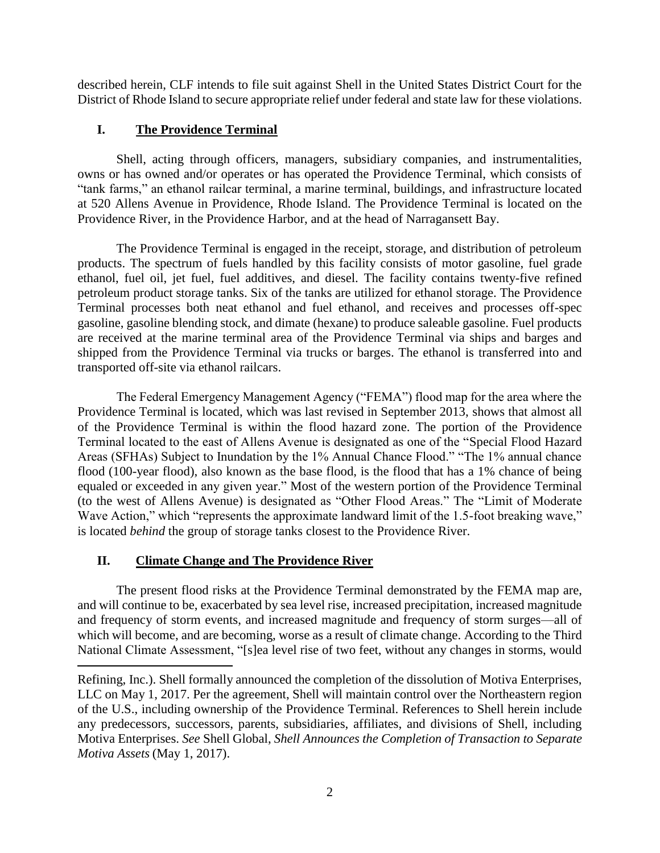described herein, CLF intends to file suit against Shell in the United States District Court for the District of Rhode Island to secure appropriate relief under federal and state law for these violations.

## **I. The Providence Terminal**

Shell, acting through officers, managers, subsidiary companies, and instrumentalities, owns or has owned and/or operates or has operated the Providence Terminal, which consists of "tank farms," an ethanol railcar terminal, a marine terminal, buildings, and infrastructure located at 520 Allens Avenue in Providence, Rhode Island. The Providence Terminal is located on the Providence River, in the Providence Harbor, and at the head of Narragansett Bay.

The Providence Terminal is engaged in the receipt, storage, and distribution of petroleum products. The spectrum of fuels handled by this facility consists of motor gasoline, fuel grade ethanol, fuel oil, jet fuel, fuel additives, and diesel. The facility contains twenty-five refined petroleum product storage tanks. Six of the tanks are utilized for ethanol storage. The Providence Terminal processes both neat ethanol and fuel ethanol, and receives and processes off-spec gasoline, gasoline blending stock, and dimate (hexane) to produce saleable gasoline. Fuel products are received at the marine terminal area of the Providence Terminal via ships and barges and shipped from the Providence Terminal via trucks or barges. The ethanol is transferred into and transported off-site via ethanol railcars.

The Federal Emergency Management Agency ("FEMA") flood map for the area where the Providence Terminal is located, which was last revised in September 2013, shows that almost all of the Providence Terminal is within the flood hazard zone. The portion of the Providence Terminal located to the east of Allens Avenue is designated as one of the "Special Flood Hazard Areas (SFHAs) Subject to Inundation by the 1% Annual Chance Flood." "The 1% annual chance flood (100-year flood), also known as the base flood, is the flood that has a 1% chance of being equaled or exceeded in any given year." Most of the western portion of the Providence Terminal (to the west of Allens Avenue) is designated as "Other Flood Areas." The "Limit of Moderate Wave Action," which "represents the approximate landward limit of the 1.5-foot breaking wave," is located *behind* the group of storage tanks closest to the Providence River.

## **II. Climate Change and The Providence River**

 $\overline{\phantom{a}}$ 

The present flood risks at the Providence Terminal demonstrated by the FEMA map are, and will continue to be, exacerbated by sea level rise, increased precipitation, increased magnitude and frequency of storm events, and increased magnitude and frequency of storm surges—all of which will become, and are becoming, worse as a result of climate change. According to the Third National Climate Assessment, "[s]ea level rise of two feet, without any changes in storms, would

Refining, Inc.). Shell formally announced the completion of the dissolution of Motiva Enterprises, LLC on May 1, 2017. Per the agreement, Shell will maintain control over the Northeastern region of the U.S., including ownership of the Providence Terminal. References to Shell herein include any predecessors, successors, parents, subsidiaries, affiliates, and divisions of Shell, including Motiva Enterprises. *See* Shell Global, *Shell Announces the Completion of Transaction to Separate Motiva Assets* (May 1, 2017).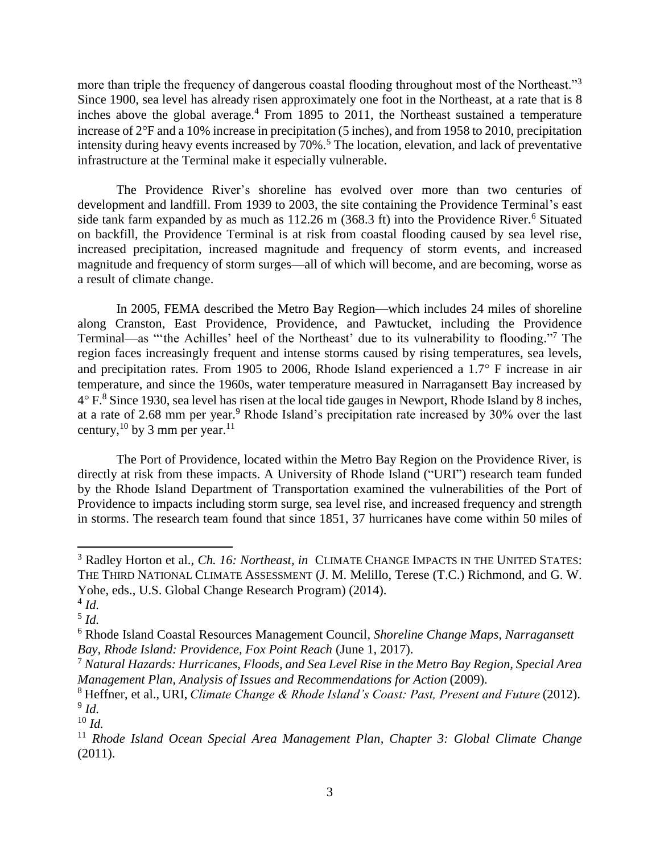more than triple the frequency of dangerous coastal flooding throughout most of the Northeast."<sup>3</sup> Since 1900, sea level has already risen approximately one foot in the Northeast, at a rate that is 8 inches above the global average.<sup>4</sup> From 1895 to 2011, the Northeast sustained a temperature increase of 2F and a 10% increase in precipitation (5 inches), and from 1958 to 2010, precipitation intensity during heavy events increased by 70%.<sup>5</sup> The location, elevation, and lack of preventative infrastructure at the Terminal make it especially vulnerable.

The Providence River's shoreline has evolved over more than two centuries of development and landfill. From 1939 to 2003, the site containing the Providence Terminal's east side tank farm expanded by as much as  $112.26$  m (368.3 ft) into the Providence River.<sup>6</sup> Situated on backfill, the Providence Terminal is at risk from coastal flooding caused by sea level rise, increased precipitation, increased magnitude and frequency of storm events, and increased magnitude and frequency of storm surges—all of which will become, and are becoming, worse as a result of climate change.

In 2005, FEMA described the Metro Bay Region—which includes 24 miles of shoreline along Cranston, East Providence, Providence, and Pawtucket, including the Providence Terminal—as "the Achilles' heel of the Northeast' due to its vulnerability to flooding."<sup>7</sup> The region faces increasingly frequent and intense storms caused by rising temperatures, sea levels, and precipitation rates. From 1905 to 2006, Rhode Island experienced a  $1.7^{\circ}$  F increase in air temperature, and since the 1960s, water temperature measured in Narragansett Bay increased by  $4^{\circ}$  F.<sup>8</sup> Since 1930, sea level has risen at the local tide gauges in Newport, Rhode Island by 8 inches, at a rate of 2.68 mm per year.<sup>9</sup> Rhode Island's precipitation rate increased by 30% over the last century,  $^{10}$  by 3 mm per year.  $^{11}$ 

The Port of Providence, located within the Metro Bay Region on the Providence River, is directly at risk from these impacts. A University of Rhode Island ("URI") research team funded by the Rhode Island Department of Transportation examined the vulnerabilities of the Port of Providence to impacts including storm surge, sea level rise, and increased frequency and strength in storms. The research team found that since 1851, 37 hurricanes have come within 50 miles of

 $\overline{a}$ 

<sup>&</sup>lt;sup>3</sup> Radley Horton et al., *Ch. 16: Northeast, in* CLIMATE CHANGE IMPACTS IN THE UNITED STATES: THE THIRD NATIONAL CLIMATE ASSESSMENT (J. M. Melillo, Terese (T.C.) Richmond, and G. W. Yohe, eds., U.S. Global Change Research Program) (2014).

<sup>4</sup> *Id.*

<sup>5</sup> *Id.*

<sup>6</sup> Rhode Island Coastal Resources Management Council, *Shoreline Change Maps, Narragansett Bay, Rhode Island: Providence, Fox Point Reach* (June 1, 2017).

<sup>7</sup> *Natural Hazards: Hurricanes, Floods, and Sea Level Rise in the Metro Bay Region, Special Area Management Plan, Analysis of Issues and Recommendations for Action* (2009).

<sup>8</sup> Heffner, et al., URI, *Climate Change & Rhode Island's Coast: Past, Present and Future* (2012). 9 *Id.*

<sup>10</sup> *Id.*

<sup>11</sup> *Rhode Island Ocean Special Area Management Plan, Chapter 3: Global Climate Change* (2011).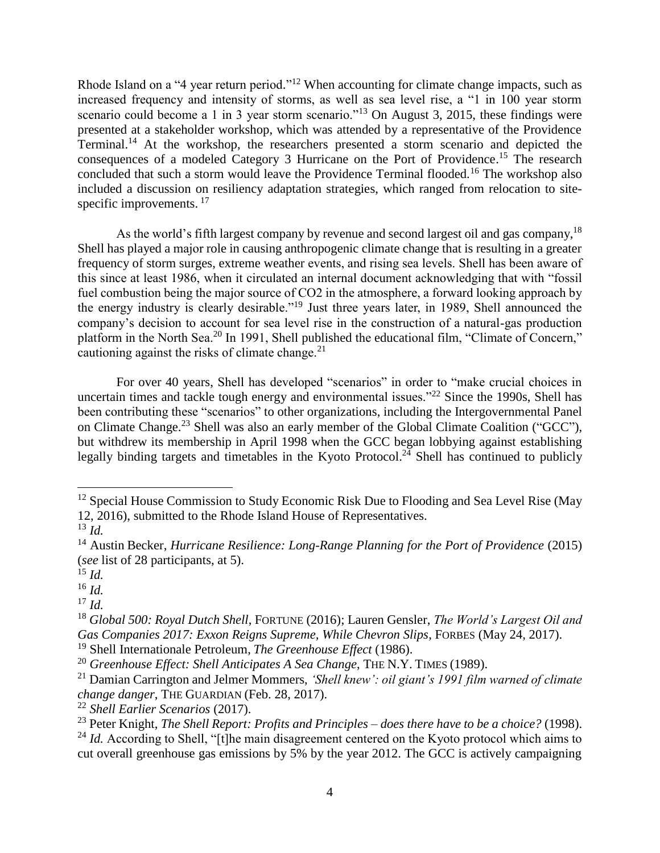Rhode Island on a "4 year return period."<sup>12</sup> When accounting for climate change impacts, such as increased frequency and intensity of storms, as well as sea level rise, a "1 in 100 year storm scenario could become a 1 in 3 year storm scenario."<sup>13</sup> On August 3, 2015, these findings were presented at a stakeholder workshop, which was attended by a representative of the Providence Terminal.<sup>14</sup> At the workshop, the researchers presented a storm scenario and depicted the consequences of a modeled Category 3 Hurricane on the Port of Providence.<sup>15</sup> The research concluded that such a storm would leave the Providence Terminal flooded.<sup>16</sup> The workshop also included a discussion on resiliency adaptation strategies, which ranged from relocation to sitespecific improvements.<sup>17</sup>

As the world's fifth largest company by revenue and second largest oil and gas company.<sup>18</sup> Shell has played a major role in causing anthropogenic climate change that is resulting in a greater frequency of storm surges, extreme weather events, and rising sea levels. Shell has been aware of this since at least 1986, when it circulated an internal document acknowledging that with "fossil fuel combustion being the major source of CO2 in the atmosphere, a forward looking approach by the energy industry is clearly desirable."<sup>19</sup> Just three years later, in 1989, Shell announced the company's decision to account for sea level rise in the construction of a natural-gas production platform in the North Sea.<sup>20</sup> In 1991, Shell published the educational film, "Climate of Concern," cautioning against the risks of climate change. $21$ 

For over 40 years, Shell has developed "scenarios" in order to "make crucial choices in uncertain times and tackle tough energy and environmental issues." $^{22}$  Since the 1990s, Shell has been contributing these "scenarios" to other organizations, including the Intergovernmental Panel on Climate Change.<sup>23</sup> Shell was also an early member of the Global Climate Coalition ("GCC"), but withdrew its membership in April 1998 when the GCC began lobbying against establishing legally binding targets and timetables in the Kyoto Protocol.<sup>24</sup> Shell has continued to publicly

 $\overline{\phantom{a}}$ 

<sup>19</sup> Shell Internationale Petroleum, *The Greenhouse Effect* (1986).

 $12$  Special House Commission to Study Economic Risk Due to Flooding and Sea Level Rise (May 12, 2016), submitted to the Rhode Island House of Representatives.

<sup>13</sup> *Id.*

<sup>14</sup> Austin Becker, *Hurricane Resilience: Long-Range Planning for the Port of Providence* (2015) (*see* list of 28 participants, at 5).

<sup>15</sup> *Id.*

<sup>16</sup> *Id.*

<sup>17</sup> *Id.*

<sup>18</sup> *Global 500: Royal Dutch Shell*, FORTUNE (2016); Lauren Gensler, *The World's Largest Oil and Gas Companies 2017: Exxon Reigns Supreme, While Chevron Slips*, FORBES (May 24, 2017).

<sup>20</sup> *Greenhouse Effect: Shell Anticipates A Sea Change*, THE N.Y. TIMES (1989).

<sup>21</sup> Damian Carrington and Jelmer Mommers, *'Shell knew': oil giant's 1991 film warned of climate change danger*, THE GUARDIAN (Feb. 28, 2017).

<sup>22</sup> *Shell Earlier Scenarios* (2017).

<sup>23</sup> Peter Knight, *The Shell Report: Profits and Principles – does there have to be a choice?* (1998).

<sup>&</sup>lt;sup>24</sup> *Id.* According to Shell, "[t]he main disagreement centered on the Kyoto protocol which aims to cut overall greenhouse gas emissions by 5% by the year 2012. The GCC is actively campaigning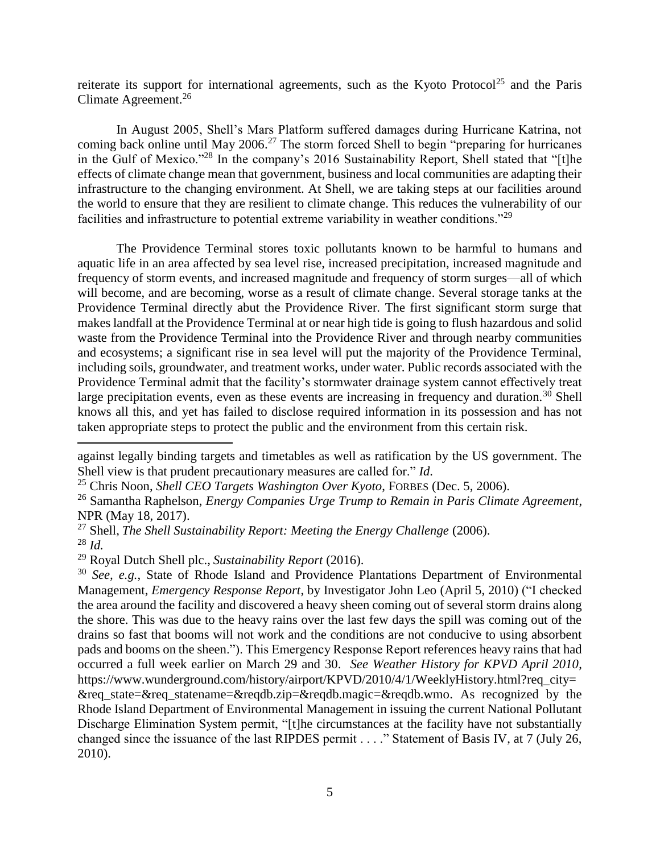reiterate its support for international agreements, such as the Kyoto Protocol<sup>25</sup> and the Paris Climate Agreement.<sup>26</sup>

In August 2005, Shell's Mars Platform suffered damages during Hurricane Katrina, not coming back online until May 2006.<sup>27</sup> The storm forced Shell to begin "preparing for hurricanes in the Gulf of Mexico."<sup>28</sup> In the company's 2016 Sustainability Report, Shell stated that "[t]he effects of climate change mean that government, business and local communities are adapting their infrastructure to the changing environment. At Shell, we are taking steps at our facilities around the world to ensure that they are resilient to climate change. This reduces the vulnerability of our facilities and infrastructure to potential extreme variability in weather conditions."<sup>29</sup>

The Providence Terminal stores toxic pollutants known to be harmful to humans and aquatic life in an area affected by sea level rise, increased precipitation, increased magnitude and frequency of storm events, and increased magnitude and frequency of storm surges—all of which will become, and are becoming, worse as a result of climate change. Several storage tanks at the Providence Terminal directly abut the Providence River. The first significant storm surge that makes landfall at the Providence Terminal at or near high tide is going to flush hazardous and solid waste from the Providence Terminal into the Providence River and through nearby communities and ecosystems; a significant rise in sea level will put the majority of the Providence Terminal, including soils, groundwater, and treatment works, under water. Public records associated with the Providence Terminal admit that the facility's stormwater drainage system cannot effectively treat large precipitation events, even as these events are increasing in frequency and duration.<sup>30</sup> Shell knows all this, and yet has failed to disclose required information in its possession and has not taken appropriate steps to protect the public and the environment from this certain risk.

 $\overline{\phantom{a}}$ 

against legally binding targets and timetables as well as ratification by the US government. The Shell view is that prudent precautionary measures are called for." *Id*.

<sup>25</sup> Chris Noon, *Shell CEO Targets Washington Over Kyoto*, FORBES (Dec. 5, 2006).

<sup>26</sup> Samantha Raphelson, *Energy Companies Urge Trump to Remain in Paris Climate Agreement*, NPR (May 18, 2017).

<sup>27</sup> Shell, *The Shell Sustainability Report: Meeting the Energy Challenge* (2006). <sup>28</sup> *Id.*

<sup>29</sup> Royal Dutch Shell plc., *Sustainability Report* (2016).

<sup>30</sup> *See, e.g.*, State of Rhode Island and Providence Plantations Department of Environmental Management, *Emergency Response Report*, by Investigator John Leo (April 5, 2010) ("I checked the area around the facility and discovered a heavy sheen coming out of several storm drains along the shore. This was due to the heavy rains over the last few days the spill was coming out of the drains so fast that booms will not work and the conditions are not conducive to using absorbent pads and booms on the sheen."). This Emergency Response Report references heavy rains that had occurred a full week earlier on March 29 and 30. *See Weather History for KPVD April 2010*, https://www.wunderground.com/history/airport/KPVD/2010/4/1/WeeklyHistory.html?req\_city= &req\_state=&req\_statename=&reqdb.zip=&reqdb.magic=&reqdb.wmo. As recognized by the Rhode Island Department of Environmental Management in issuing the current National Pollutant Discharge Elimination System permit, "[t]he circumstances at the facility have not substantially changed since the issuance of the last RIPDES permit . . . ." Statement of Basis IV, at 7 (July 26, 2010).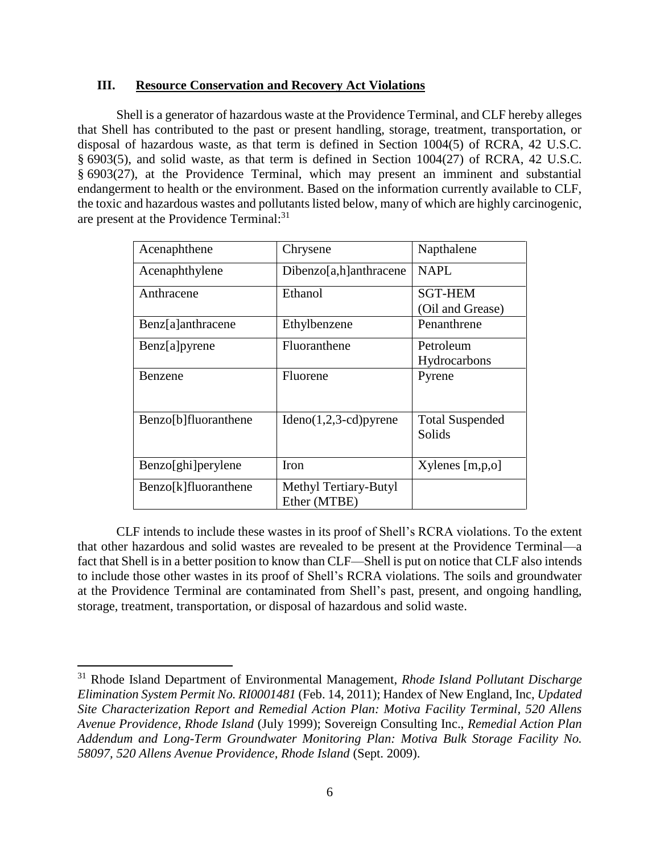### **III. Resource Conservation and Recovery Act Violations**

Shell is a generator of hazardous waste at the Providence Terminal, and CLF hereby alleges that Shell has contributed to the past or present handling, storage, treatment, transportation, or disposal of hazardous waste, as that term is defined in Section 1004(5) of RCRA, 42 U.S.C. § 6903(5), and solid waste, as that term is defined in Section 1004(27) of RCRA, 42 U.S.C. § 6903(27), at the Providence Terminal, which may present an imminent and substantial endangerment to health or the environment. Based on the information currently available to CLF, the toxic and hazardous wastes and pollutants listed below, many of which are highly carcinogenic, are present at the Providence Terminal:<sup>31</sup>

| Acenaphthene         | Chrysene                              | Napthalene                       |
|----------------------|---------------------------------------|----------------------------------|
| Acenaphthylene       | Dibenzo[a,h]anthracene                | NAPL                             |
| Anthracene           | Ethanol                               | <b>SGT-HEM</b>                   |
|                      |                                       | (Oil and Grease)                 |
| Benz[a]anthracene    | Ethylbenzene                          | Penanthrene                      |
| Benz[a]pyrene        | Fluoranthene                          | Petroleum                        |
|                      |                                       | Hydrocarbons                     |
| Benzene              | Fluorene                              | Pyrene                           |
| Benzo[b]fluoranthene | $Ideno(1,2,3-cd)pyrene$               | <b>Total Suspended</b><br>Solids |
| Benzo[ghi]perylene   | Iron                                  | Xylenes [m,p,o]                  |
| Benzo[k]fluoranthene | Methyl Tertiary-Butyl<br>Ether (MTBE) |                                  |

CLF intends to include these wastes in its proof of Shell's RCRA violations. To the extent that other hazardous and solid wastes are revealed to be present at the Providence Terminal—a fact that Shell is in a better position to know than CLF—Shell is put on notice that CLF also intends to include those other wastes in its proof of Shell's RCRA violations. The soils and groundwater at the Providence Terminal are contaminated from Shell's past, present, and ongoing handling, storage, treatment, transportation, or disposal of hazardous and solid waste.

 $\overline{\phantom{a}}$ 

<sup>31</sup> Rhode Island Department of Environmental Management, *Rhode Island Pollutant Discharge Elimination System Permit No. RI0001481* (Feb. 14, 2011); Handex of New England, Inc, *Updated Site Characterization Report and Remedial Action Plan: Motiva Facility Terminal, 520 Allens Avenue Providence, Rhode Island* (July 1999); Sovereign Consulting Inc., *Remedial Action Plan Addendum and Long-Term Groundwater Monitoring Plan: Motiva Bulk Storage Facility No. 58097, 520 Allens Avenue Providence, Rhode Island* (Sept. 2009).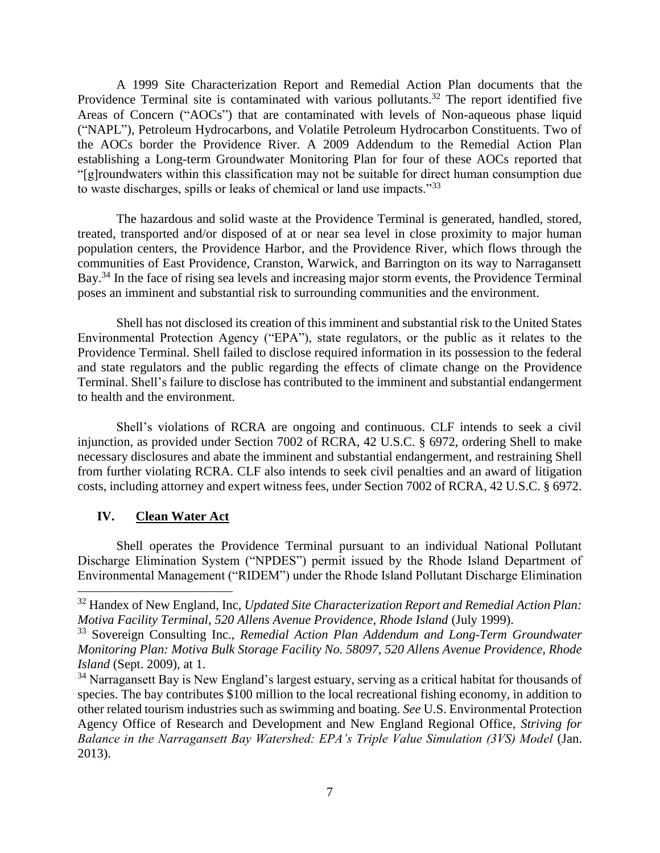A 1999 Site Characterization Report and Remedial Action Plan documents that the Providence Terminal site is contaminated with various pollutants.<sup>32</sup> The report identified five Areas of Concern ("AOCs") that are contaminated with levels of Non-aqueous phase liquid ("NAPL"), Petroleum Hydrocarbons, and Volatile Petroleum Hydrocarbon Constituents. Two of the AOCs border the Providence River. A 2009 Addendum to the Remedial Action Plan establishing a Long-term Groundwater Monitoring Plan for four of these AOCs reported that "[g]roundwaters within this classification may not be suitable for direct human consumption due to waste discharges, spills or leaks of chemical or land use impacts."<sup>33</sup>

The hazardous and solid waste at the Providence Terminal is generated, handled, stored, treated, transported and/or disposed of at or near sea level in close proximity to major human population centers, the Providence Harbor, and the Providence River, which flows through the communities of East Providence, Cranston, Warwick, and Barrington on its way to Narragansett Bay.<sup>34</sup> In the face of rising sea levels and increasing major storm events, the Providence Terminal poses an imminent and substantial risk to surrounding communities and the environment.

Shell has not disclosed its creation of this imminent and substantial risk to the United States Environmental Protection Agency ("EPA"), state regulators, or the public as it relates to the Providence Terminal. Shell failed to disclose required information in its possession to the federal and state regulators and the public regarding the effects of climate change on the Providence Terminal. Shell's failure to disclose has contributed to the imminent and substantial endangerment to health and the environment.

Shell's violations of RCRA are ongoing and continuous. CLF intends to seek a civil injunction, as provided under Section 7002 of RCRA, 42 U.S.C. § 6972, ordering Shell to make necessary disclosures and abate the imminent and substantial endangerment, and restraining Shell from further violating RCRA. CLF also intends to seek civil penalties and an award of litigation costs, including attorney and expert witness fees, under Section 7002 of RCRA, 42 U.S.C. § 6972.

## **IV. Clean Water Act**

 $\overline{\phantom{a}}$ 

Shell operates the Providence Terminal pursuant to an individual National Pollutant Discharge Elimination System ("NPDES") permit issued by the Rhode Island Department of Environmental Management ("RIDEM") under the Rhode Island Pollutant Discharge Elimination

<sup>32</sup> Handex of New England, Inc, *Updated Site Characterization Report and Remedial Action Plan: Motiva Facility Terminal, 520 Allens Avenue Providence, Rhode Island* (July 1999).

<sup>33</sup> Sovereign Consulting Inc., *Remedial Action Plan Addendum and Long-Term Groundwater Monitoring Plan: Motiva Bulk Storage Facility No. 58097, 520 Allens Avenue Providence, Rhode Island* (Sept. 2009), at 1.

<sup>&</sup>lt;sup>34</sup> Narragansett Bay is New England's largest estuary, serving as a critical habitat for thousands of species. The bay contributes \$100 million to the local recreational fishing economy, in addition to other related tourism industries such as swimming and boating. *See* U.S. Environmental Protection Agency Office of Research and Development and New England Regional Office, *Striving for Balance in the Narragansett Bay Watershed: EPA's Triple Value Simulation (3VS) Model* (Jan. 2013).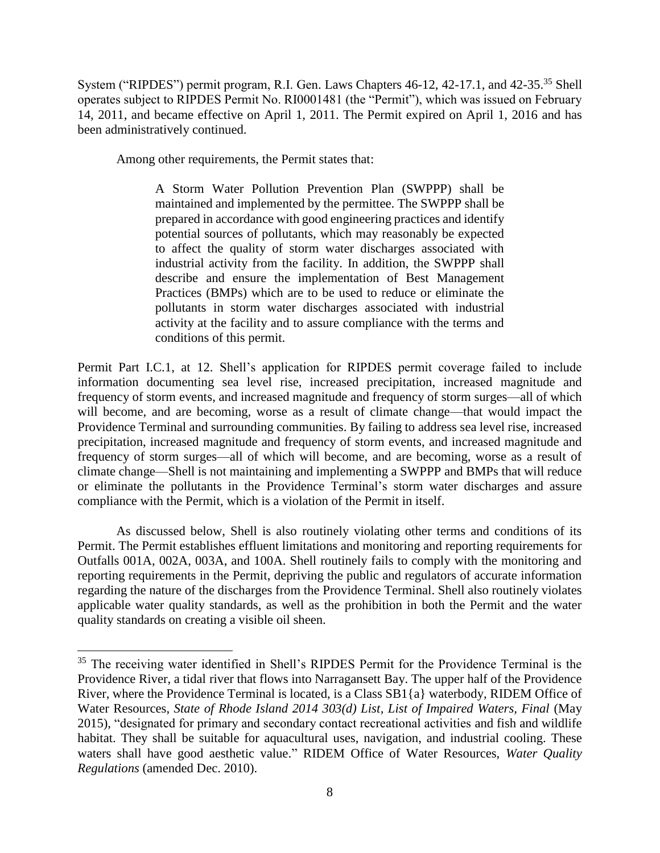System ("RIPDES") permit program, R.I. Gen. Laws Chapters 46-12, 42-17.1, and 42-35.<sup>35</sup> Shell operates subject to RIPDES Permit No. RI0001481 (the "Permit"), which was issued on February 14, 2011, and became effective on April 1, 2011. The Permit expired on April 1, 2016 and has been administratively continued.

Among other requirements, the Permit states that:

 $\overline{\phantom{a}}$ 

A Storm Water Pollution Prevention Plan (SWPPP) shall be maintained and implemented by the permittee. The SWPPP shall be prepared in accordance with good engineering practices and identify potential sources of pollutants, which may reasonably be expected to affect the quality of storm water discharges associated with industrial activity from the facility. In addition, the SWPPP shall describe and ensure the implementation of Best Management Practices (BMPs) which are to be used to reduce or eliminate the pollutants in storm water discharges associated with industrial activity at the facility and to assure compliance with the terms and conditions of this permit.

Permit Part I.C.1, at 12. Shell's application for RIPDES permit coverage failed to include information documenting sea level rise, increased precipitation, increased magnitude and frequency of storm events, and increased magnitude and frequency of storm surges—all of which will become, and are becoming, worse as a result of climate change—that would impact the Providence Terminal and surrounding communities. By failing to address sea level rise, increased precipitation, increased magnitude and frequency of storm events, and increased magnitude and frequency of storm surges—all of which will become, and are becoming, worse as a result of climate change—Shell is not maintaining and implementing a SWPPP and BMPs that will reduce or eliminate the pollutants in the Providence Terminal's storm water discharges and assure compliance with the Permit, which is a violation of the Permit in itself.

As discussed below, Shell is also routinely violating other terms and conditions of its Permit. The Permit establishes effluent limitations and monitoring and reporting requirements for Outfalls 001A, 002A, 003A, and 100A. Shell routinely fails to comply with the monitoring and reporting requirements in the Permit, depriving the public and regulators of accurate information regarding the nature of the discharges from the Providence Terminal. Shell also routinely violates applicable water quality standards, as well as the prohibition in both the Permit and the water quality standards on creating a visible oil sheen.

<sup>&</sup>lt;sup>35</sup> The receiving water identified in Shell's RIPDES Permit for the Providence Terminal is the Providence River, a tidal river that flows into Narragansett Bay. The upper half of the Providence River, where the Providence Terminal is located, is a Class SB1{a} waterbody, RIDEM Office of Water Resources, *State of Rhode Island 2014 303(d) List, List of Impaired Waters, Final* (May 2015), "designated for primary and secondary contact recreational activities and fish and wildlife habitat. They shall be suitable for aquacultural uses, navigation, and industrial cooling. These waters shall have good aesthetic value." RIDEM Office of Water Resources, *Water Quality Regulations* (amended Dec. 2010).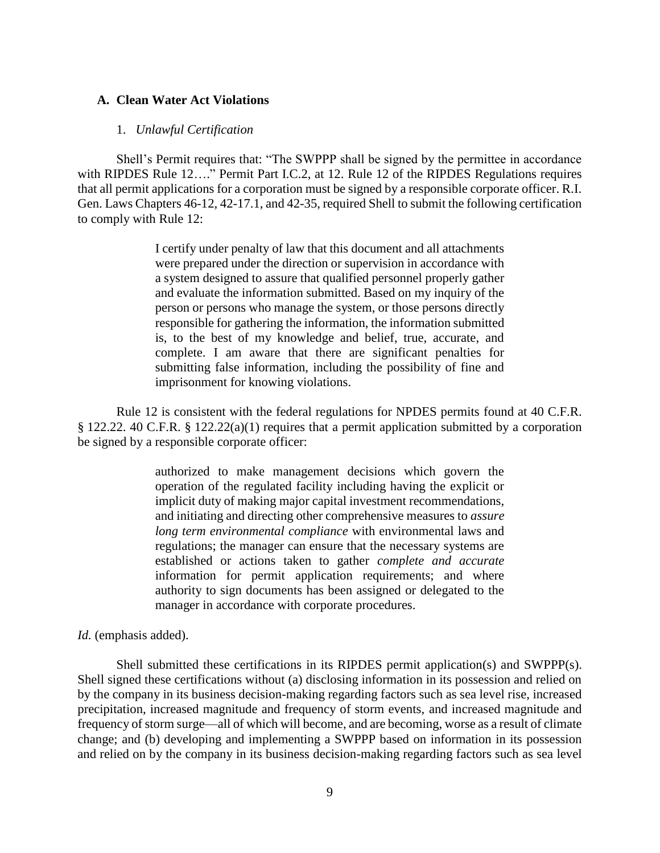#### **A. Clean Water Act Violations**

#### 1. *Unlawful Certification*

Shell's Permit requires that: "The SWPPP shall be signed by the permittee in accordance with RIPDES Rule 12...." Permit Part I.C.2, at 12. Rule 12 of the RIPDES Regulations requires that all permit applications for a corporation must be signed by a responsible corporate officer. R.I. Gen. Laws Chapters 46-12, 42-17.1, and 42-35, required Shell to submit the following certification to comply with Rule 12:

> I certify under penalty of law that this document and all attachments were prepared under the direction or supervision in accordance with a system designed to assure that qualified personnel properly gather and evaluate the information submitted. Based on my inquiry of the person or persons who manage the system, or those persons directly responsible for gathering the information, the information submitted is, to the best of my knowledge and belief, true, accurate, and complete. I am aware that there are significant penalties for submitting false information, including the possibility of fine and imprisonment for knowing violations.

Rule 12 is consistent with the federal regulations for NPDES permits found at 40 C.F.R. § 122.22. 40 C.F.R. § 122.22(a)(1) requires that a permit application submitted by a corporation be signed by a responsible corporate officer:

> authorized to make management decisions which govern the operation of the regulated facility including having the explicit or implicit duty of making major capital investment recommendations, and initiating and directing other comprehensive measures to *assure long term environmental compliance* with environmental laws and regulations; the manager can ensure that the necessary systems are established or actions taken to gather *complete and accurate* information for permit application requirements; and where authority to sign documents has been assigned or delegated to the manager in accordance with corporate procedures.

*Id.* (emphasis added).

Shell submitted these certifications in its RIPDES permit application(s) and SWPPP(s). Shell signed these certifications without (a) disclosing information in its possession and relied on by the company in its business decision-making regarding factors such as sea level rise, increased precipitation, increased magnitude and frequency of storm events, and increased magnitude and frequency of storm surge—all of which will become, and are becoming, worse as a result of climate change; and (b) developing and implementing a SWPPP based on information in its possession and relied on by the company in its business decision-making regarding factors such as sea level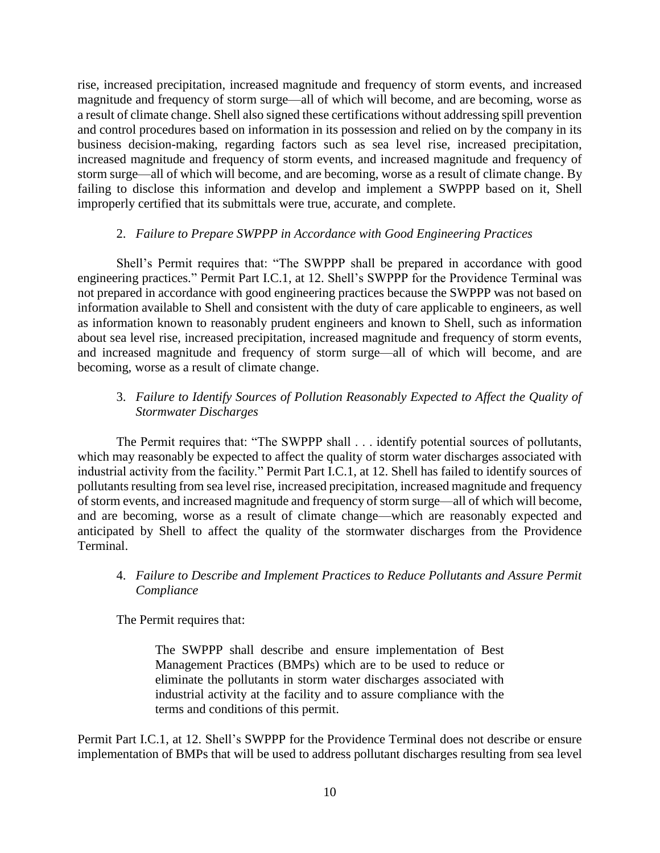rise, increased precipitation, increased magnitude and frequency of storm events, and increased magnitude and frequency of storm surge—all of which will become, and are becoming, worse as a result of climate change. Shell also signed these certifications without addressing spill prevention and control procedures based on information in its possession and relied on by the company in its business decision-making, regarding factors such as sea level rise, increased precipitation, increased magnitude and frequency of storm events, and increased magnitude and frequency of storm surge—all of which will become, and are becoming, worse as a result of climate change. By failing to disclose this information and develop and implement a SWPPP based on it, Shell improperly certified that its submittals were true, accurate, and complete.

## 2. *Failure to Prepare SWPPP in Accordance with Good Engineering Practices*

Shell's Permit requires that: "The SWPPP shall be prepared in accordance with good engineering practices." Permit Part I.C.1, at 12. Shell's SWPPP for the Providence Terminal was not prepared in accordance with good engineering practices because the SWPPP was not based on information available to Shell and consistent with the duty of care applicable to engineers, as well as information known to reasonably prudent engineers and known to Shell, such as information about sea level rise, increased precipitation, increased magnitude and frequency of storm events, and increased magnitude and frequency of storm surge—all of which will become, and are becoming, worse as a result of climate change.

## 3. *Failure to Identify Sources of Pollution Reasonably Expected to Affect the Quality of Stormwater Discharges*

The Permit requires that: "The SWPPP shall . . . identify potential sources of pollutants, which may reasonably be expected to affect the quality of storm water discharges associated with industrial activity from the facility." Permit Part I.C.1, at 12. Shell has failed to identify sources of pollutants resulting from sea level rise, increased precipitation, increased magnitude and frequency of storm events, and increased magnitude and frequency of storm surge—all of which will become, and are becoming, worse as a result of climate change—which are reasonably expected and anticipated by Shell to affect the quality of the stormwater discharges from the Providence Terminal.

## 4. *Failure to Describe and Implement Practices to Reduce Pollutants and Assure Permit Compliance*

The Permit requires that:

The SWPPP shall describe and ensure implementation of Best Management Practices (BMPs) which are to be used to reduce or eliminate the pollutants in storm water discharges associated with industrial activity at the facility and to assure compliance with the terms and conditions of this permit.

Permit Part I.C.1, at 12. Shell's SWPPP for the Providence Terminal does not describe or ensure implementation of BMPs that will be used to address pollutant discharges resulting from sea level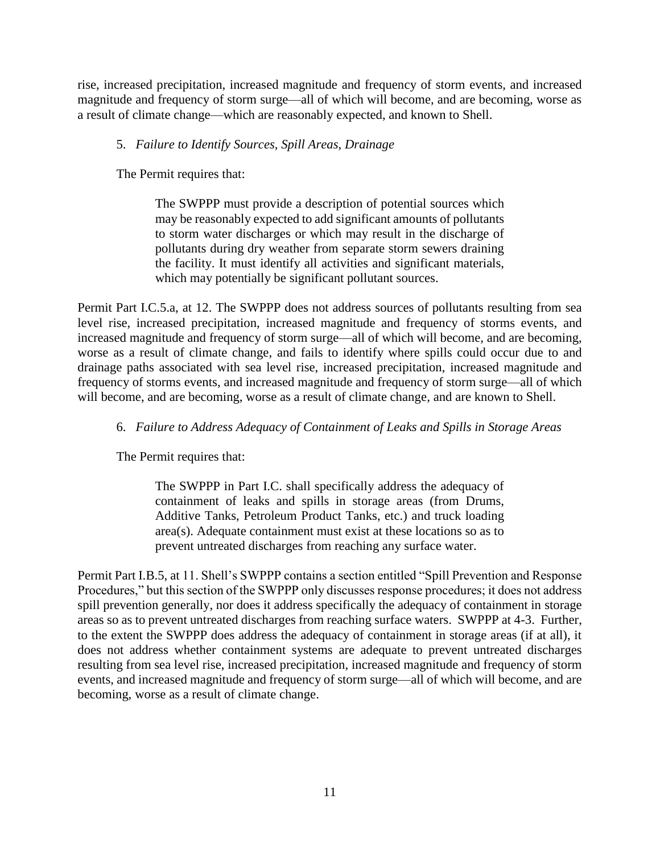rise, increased precipitation, increased magnitude and frequency of storm events, and increased magnitude and frequency of storm surge—all of which will become, and are becoming, worse as a result of climate change—which are reasonably expected, and known to Shell.

## 5. *Failure to Identify Sources, Spill Areas, Drainage*

The Permit requires that:

The SWPPP must provide a description of potential sources which may be reasonably expected to add significant amounts of pollutants to storm water discharges or which may result in the discharge of pollutants during dry weather from separate storm sewers draining the facility. It must identify all activities and significant materials, which may potentially be significant pollutant sources.

Permit Part I.C.5.a, at 12. The SWPPP does not address sources of pollutants resulting from sea level rise, increased precipitation, increased magnitude and frequency of storms events, and increased magnitude and frequency of storm surge—all of which will become, and are becoming, worse as a result of climate change, and fails to identify where spills could occur due to and drainage paths associated with sea level rise, increased precipitation, increased magnitude and frequency of storms events, and increased magnitude and frequency of storm surge—all of which will become, and are becoming, worse as a result of climate change, and are known to Shell.

# 6. *Failure to Address Adequacy of Containment of Leaks and Spills in Storage Areas*

The Permit requires that:

The SWPPP in Part I.C. shall specifically address the adequacy of containment of leaks and spills in storage areas (from Drums, Additive Tanks, Petroleum Product Tanks, etc.) and truck loading area(s). Adequate containment must exist at these locations so as to prevent untreated discharges from reaching any surface water.

Permit Part I.B.5, at 11. Shell's SWPPP contains a section entitled "Spill Prevention and Response Procedures," but this section of the SWPPP only discusses response procedures; it does not address spill prevention generally, nor does it address specifically the adequacy of containment in storage areas so as to prevent untreated discharges from reaching surface waters. SWPPP at 4-3. Further, to the extent the SWPPP does address the adequacy of containment in storage areas (if at all), it does not address whether containment systems are adequate to prevent untreated discharges resulting from sea level rise, increased precipitation, increased magnitude and frequency of storm events, and increased magnitude and frequency of storm surge—all of which will become, and are becoming, worse as a result of climate change.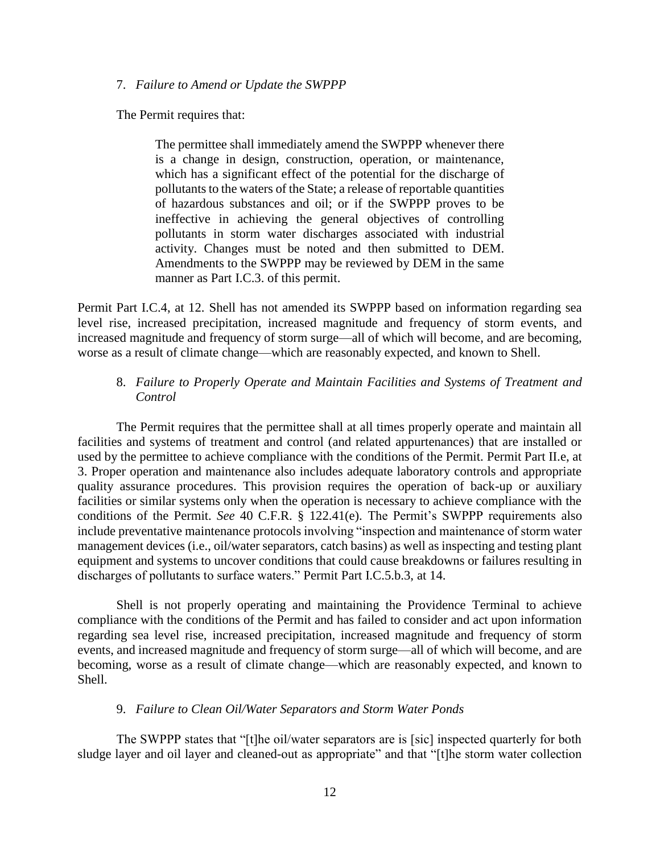#### 7. *Failure to Amend or Update the SWPPP*

The Permit requires that:

The permittee shall immediately amend the SWPPP whenever there is a change in design, construction, operation, or maintenance, which has a significant effect of the potential for the discharge of pollutants to the waters of the State; a release of reportable quantities of hazardous substances and oil; or if the SWPPP proves to be ineffective in achieving the general objectives of controlling pollutants in storm water discharges associated with industrial activity. Changes must be noted and then submitted to DEM. Amendments to the SWPPP may be reviewed by DEM in the same manner as Part I.C.3. of this permit.

Permit Part I.C.4, at 12. Shell has not amended its SWPPP based on information regarding sea level rise, increased precipitation, increased magnitude and frequency of storm events, and increased magnitude and frequency of storm surge—all of which will become, and are becoming, worse as a result of climate change—which are reasonably expected, and known to Shell.

### 8. *Failure to Properly Operate and Maintain Facilities and Systems of Treatment and Control*

The Permit requires that the permittee shall at all times properly operate and maintain all facilities and systems of treatment and control (and related appurtenances) that are installed or used by the permittee to achieve compliance with the conditions of the Permit. Permit Part II.e, at 3. Proper operation and maintenance also includes adequate laboratory controls and appropriate quality assurance procedures. This provision requires the operation of back-up or auxiliary facilities or similar systems only when the operation is necessary to achieve compliance with the conditions of the Permit. *See* 40 C.F.R. § 122.41(e). The Permit's SWPPP requirements also include preventative maintenance protocols involving "inspection and maintenance of storm water management devices (i.e., oil/water separators, catch basins) as well as inspecting and testing plant equipment and systems to uncover conditions that could cause breakdowns or failures resulting in discharges of pollutants to surface waters." Permit Part I.C.5.b.3, at 14.

Shell is not properly operating and maintaining the Providence Terminal to achieve compliance with the conditions of the Permit and has failed to consider and act upon information regarding sea level rise, increased precipitation, increased magnitude and frequency of storm events, and increased magnitude and frequency of storm surge—all of which will become, and are becoming, worse as a result of climate change—which are reasonably expected, and known to Shell.

#### 9. *Failure to Clean Oil/Water Separators and Storm Water Ponds*

The SWPPP states that "[t]he oil/water separators are is [sic] inspected quarterly for both sludge layer and oil layer and cleaned-out as appropriate" and that "[t]he storm water collection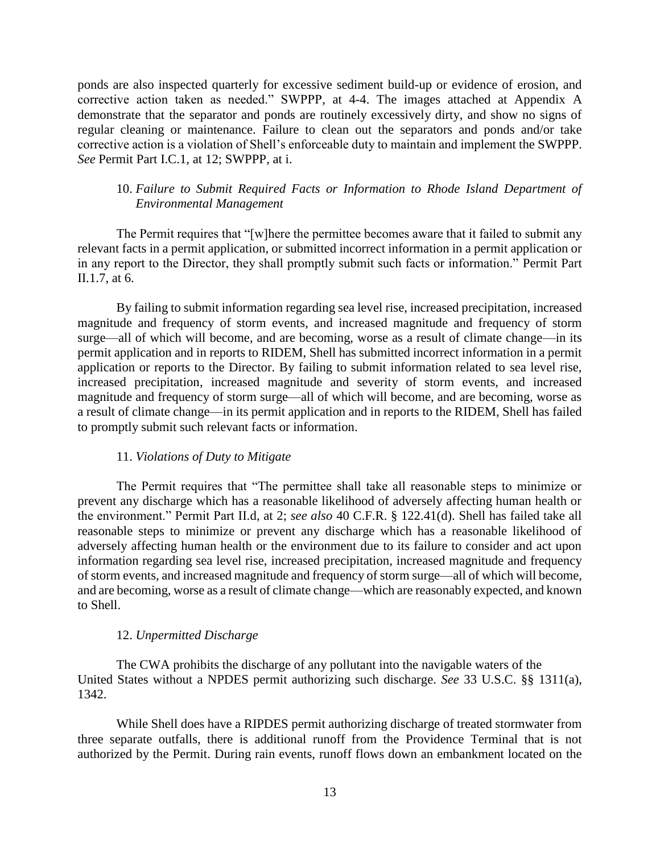ponds are also inspected quarterly for excessive sediment build-up or evidence of erosion, and corrective action taken as needed." SWPPP, at 4-4. The images attached at Appendix A demonstrate that the separator and ponds are routinely excessively dirty, and show no signs of regular cleaning or maintenance. Failure to clean out the separators and ponds and/or take corrective action is a violation of Shell's enforceable duty to maintain and implement the SWPPP. *See* Permit Part I.C.1, at 12; SWPPP, at i.

## 10. *Failure to Submit Required Facts or Information to Rhode Island Department of Environmental Management*

The Permit requires that "[w]here the permittee becomes aware that it failed to submit any relevant facts in a permit application, or submitted incorrect information in a permit application or in any report to the Director, they shall promptly submit such facts or information." Permit Part II.1.7, at 6.

By failing to submit information regarding sea level rise, increased precipitation, increased magnitude and frequency of storm events, and increased magnitude and frequency of storm surge—all of which will become, and are becoming, worse as a result of climate change—in its permit application and in reports to RIDEM, Shell has submitted incorrect information in a permit application or reports to the Director. By failing to submit information related to sea level rise, increased precipitation, increased magnitude and severity of storm events, and increased magnitude and frequency of storm surge—all of which will become, and are becoming, worse as a result of climate change—in its permit application and in reports to the RIDEM, Shell has failed to promptly submit such relevant facts or information.

### 11. *Violations of Duty to Mitigate*

The Permit requires that "The permittee shall take all reasonable steps to minimize or prevent any discharge which has a reasonable likelihood of adversely affecting human health or the environment." Permit Part II.d, at 2; *see also* 40 C.F.R. § 122.41(d). Shell has failed take all reasonable steps to minimize or prevent any discharge which has a reasonable likelihood of adversely affecting human health or the environment due to its failure to consider and act upon information regarding sea level rise, increased precipitation, increased magnitude and frequency of storm events, and increased magnitude and frequency of storm surge—all of which will become, and are becoming, worse as a result of climate change—which are reasonably expected, and known to Shell.

### 12. *Unpermitted Discharge*

The CWA prohibits the discharge of any pollutant into the navigable waters of the United States without a NPDES permit authorizing such discharge. *See* 33 U.S.C. §§ 1311(a), 1342.

While Shell does have a RIPDES permit authorizing discharge of treated stormwater from three separate outfalls, there is additional runoff from the Providence Terminal that is not authorized by the Permit. During rain events, runoff flows down an embankment located on the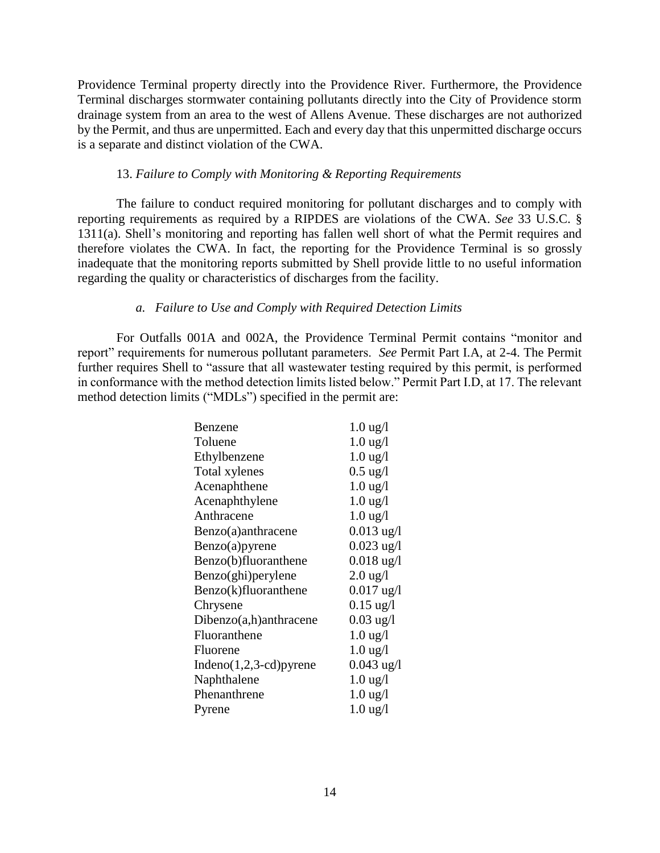Providence Terminal property directly into the Providence River. Furthermore, the Providence Terminal discharges stormwater containing pollutants directly into the City of Providence storm drainage system from an area to the west of Allens Avenue. These discharges are not authorized by the Permit, and thus are unpermitted. Each and every day that this unpermitted discharge occurs is a separate and distinct violation of the CWA.

### 13. *Failure to Comply with Monitoring & Reporting Requirements*

The failure to conduct required monitoring for pollutant discharges and to comply with reporting requirements as required by a RIPDES are violations of the CWA. *See* 33 U.S.C. § 1311(a). Shell's monitoring and reporting has fallen well short of what the Permit requires and therefore violates the CWA. In fact, the reporting for the Providence Terminal is so grossly inadequate that the monitoring reports submitted by Shell provide little to no useful information regarding the quality or characteristics of discharges from the facility.

### *a. Failure to Use and Comply with Required Detection Limits*

For Outfalls 001A and 002A, the Providence Terminal Permit contains "monitor and report" requirements for numerous pollutant parameters. *See* Permit Part I.A, at 2-4. The Permit further requires Shell to "assure that all wastewater testing required by this permit, is performed in conformance with the method detection limits listed below." Permit Part I.D, at 17. The relevant method detection limits ("MDLs") specified in the permit are:

| Benzene                     | $1.0 \text{ ug}/l$   |
|-----------------------------|----------------------|
| Toluene                     | $1.0 \text{ ug}/l$   |
| Ethylbenzene                | $1.0 \text{ ug}/l$   |
| Total xylenes               | $0.5 \text{ ug}/l$   |
| Acenaphthene                | $1.0 \text{ ug}/l$   |
| Acenaphthylene              | $1.0 \text{ ug}/l$   |
| Anthracene                  | $1.0 \text{ ug}/l$   |
| Benzo(a)anthracene          | $0.013 \text{ ug}/l$ |
| Benzo(a)pyrene              | $0.023$ ug/l         |
| Benzo(b)fluoranthene        | $0.018$ ug/l         |
| Benzo(ghi) per ylene        | $2.0 \text{ ug}/l$   |
| Benzo(k)fluoranthene        | $0.017$ ug/l         |
| Chrysene                    | $0.15 \text{ ug}/l$  |
| $Dibenzo(a,h)$ anthracene   | $0.03$ ug/l          |
| Fluoranthene                | $1.0$ ug/l           |
| Fluorene                    | $1.0 \text{ ug}/l$   |
| Indeno $(1,2,3$ -cd) pyrene | $0.043$ ug/l         |
| Naphthalene                 | $1.0$ ug/l           |
| Phenanthrene                | $1.0 \text{ ug}/l$   |
| Pyrene                      | $1.0 \text{ ug}/l$   |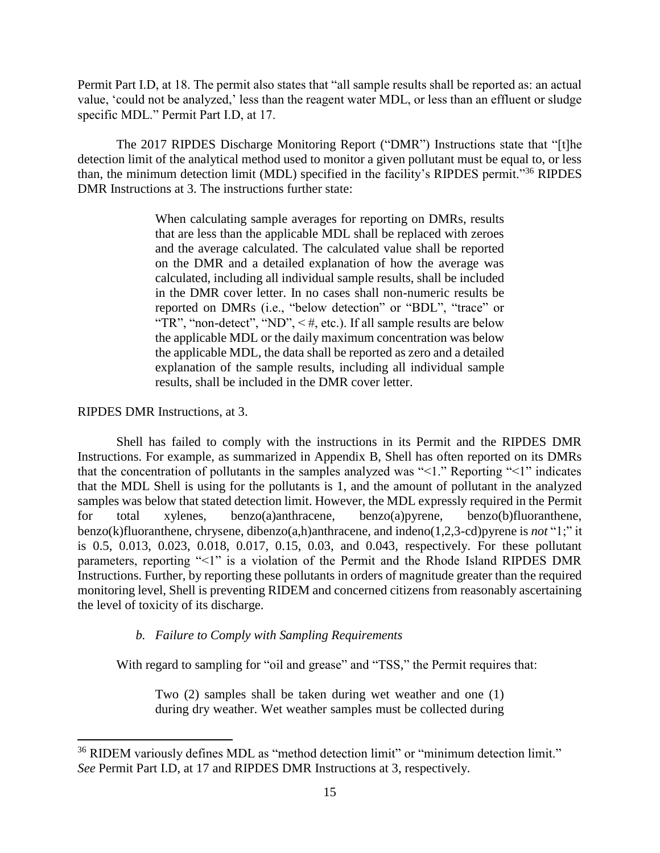Permit Part I.D, at 18. The permit also states that "all sample results shall be reported as: an actual value, 'could not be analyzed,' less than the reagent water MDL, or less than an effluent or sludge specific MDL." Permit Part I.D, at 17.

The 2017 RIPDES Discharge Monitoring Report ("DMR") Instructions state that "[t]he detection limit of the analytical method used to monitor a given pollutant must be equal to, or less than, the minimum detection limit (MDL) specified in the facility's RIPDES permit."<sup>36</sup> RIPDES DMR Instructions at 3. The instructions further state:

> When calculating sample averages for reporting on DMRs, results that are less than the applicable MDL shall be replaced with zeroes and the average calculated. The calculated value shall be reported on the DMR and a detailed explanation of how the average was calculated, including all individual sample results, shall be included in the DMR cover letter. In no cases shall non-numeric results be reported on DMRs (i.e., "below detection" or "BDL", "trace" or "TR", "non-detect", "ND",  $\lt$  #, etc.). If all sample results are below the applicable MDL or the daily maximum concentration was below the applicable MDL, the data shall be reported as zero and a detailed explanation of the sample results, including all individual sample results, shall be included in the DMR cover letter.

### RIPDES DMR Instructions, at 3.

 $\overline{\phantom{a}}$ 

Shell has failed to comply with the instructions in its Permit and the RIPDES DMR Instructions. For example, as summarized in Appendix B, Shell has often reported on its DMRs that the concentration of pollutants in the samples analyzed was "<1." Reporting "<1" indicates that the MDL Shell is using for the pollutants is 1, and the amount of pollutant in the analyzed samples was below that stated detection limit. However, the MDL expressly required in the Permit for total xylenes, benzo(a)anthracene, benzo(a)pyrene, benzo(b)fluoranthene, benzo(k)fluoranthene, chrysene, dibenzo(a,h)anthracene, and indeno(1,2,3-cd)pyrene is *not* "1;" it is 0.5, 0.013, 0.023, 0.018, 0.017, 0.15, 0.03, and 0.043, respectively. For these pollutant parameters, reporting "<1" is a violation of the Permit and the Rhode Island RIPDES DMR Instructions. Further, by reporting these pollutants in orders of magnitude greater than the required monitoring level, Shell is preventing RIDEM and concerned citizens from reasonably ascertaining the level of toxicity of its discharge.

## *b. Failure to Comply with Sampling Requirements*

With regard to sampling for "oil and grease" and "TSS," the Permit requires that:

Two (2) samples shall be taken during wet weather and one (1) during dry weather. Wet weather samples must be collected during

<sup>&</sup>lt;sup>36</sup> RIDEM variously defines MDL as "method detection limit" or "minimum detection limit." *See* Permit Part I.D, at 17 and RIPDES DMR Instructions at 3, respectively.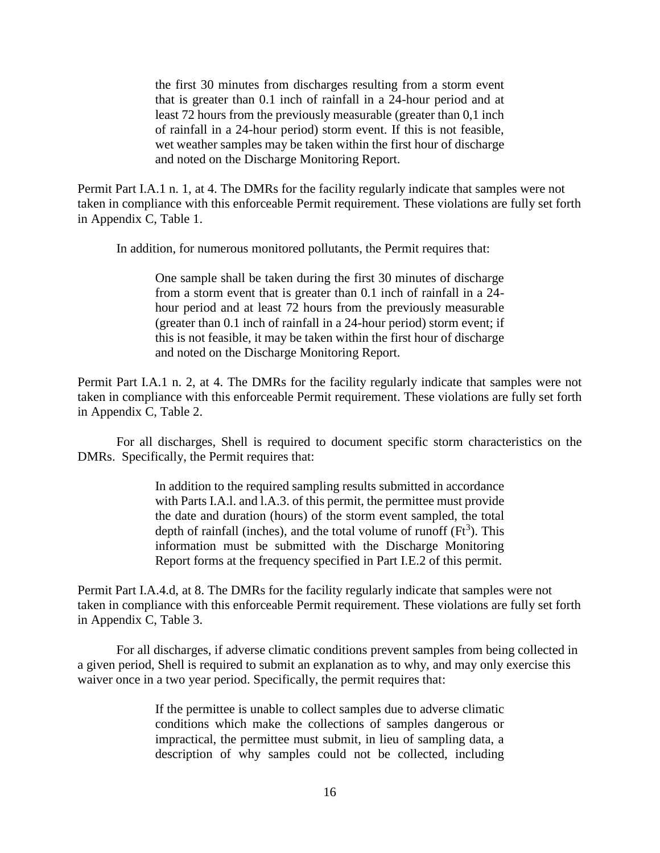the first 30 minutes from discharges resulting from a storm event that is greater than 0.1 inch of rainfall in a 24-hour period and at least 72 hours from the previously measurable (greater than 0,1 inch of rainfall in a 24-hour period) storm event. If this is not feasible, wet weather samples may be taken within the first hour of discharge and noted on the Discharge Monitoring Report.

Permit Part I.A.1 n. 1, at 4. The DMRs for the facility regularly indicate that samples were not taken in compliance with this enforceable Permit requirement. These violations are fully set forth in Appendix C, Table 1.

In addition, for numerous monitored pollutants, the Permit requires that:

One sample shall be taken during the first 30 minutes of discharge from a storm event that is greater than 0.1 inch of rainfall in a 24 hour period and at least 72 hours from the previously measurable (greater than 0.1 inch of rainfall in a 24-hour period) storm event; if this is not feasible, it may be taken within the first hour of discharge and noted on the Discharge Monitoring Report.

Permit Part I.A.1 n. 2, at 4. The DMRs for the facility regularly indicate that samples were not taken in compliance with this enforceable Permit requirement. These violations are fully set forth in Appendix C, Table 2.

For all discharges, Shell is required to document specific storm characteristics on the DMRs. Specifically, the Permit requires that:

> In addition to the required sampling results submitted in accordance with Parts I.A.l. and l.A.3. of this permit, the permittee must provide the date and duration (hours) of the storm event sampled, the total depth of rainfall (inches), and the total volume of runoff  $(Ft<sup>3</sup>)$ . This information must be submitted with the Discharge Monitoring Report forms at the frequency specified in Part I.E.2 of this permit.

Permit Part I.A.4.d, at 8. The DMRs for the facility regularly indicate that samples were not taken in compliance with this enforceable Permit requirement. These violations are fully set forth in Appendix C, Table 3.

For all discharges, if adverse climatic conditions prevent samples from being collected in a given period, Shell is required to submit an explanation as to why, and may only exercise this waiver once in a two year period. Specifically, the permit requires that:

> If the permittee is unable to collect samples due to adverse climatic conditions which make the collections of samples dangerous or impractical, the permittee must submit, in lieu of sampling data, a description of why samples could not be collected, including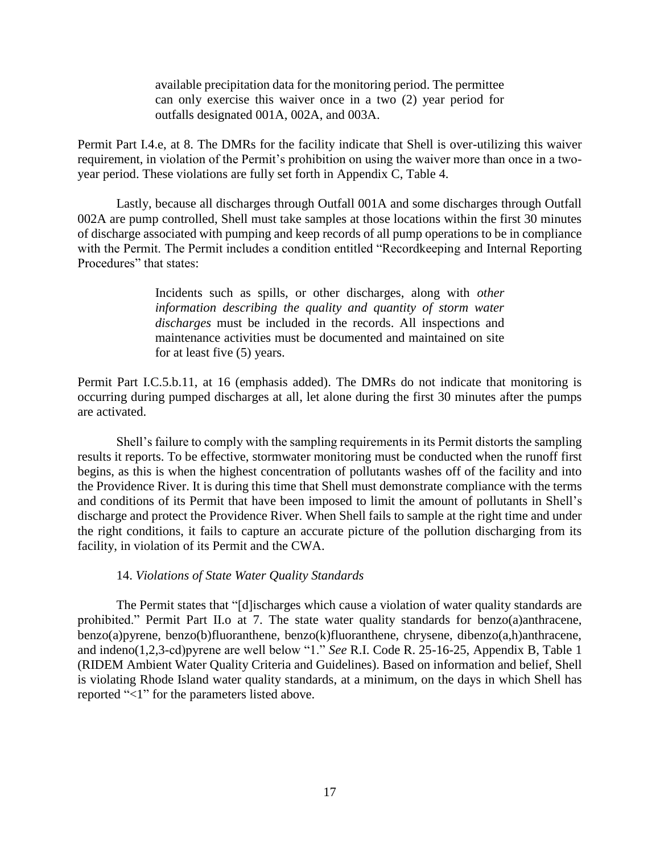available precipitation data for the monitoring period. The permittee can only exercise this waiver once in a two (2) year period for outfalls designated 001A, 002A, and 003A.

Permit Part I.4.e, at 8. The DMRs for the facility indicate that Shell is over-utilizing this waiver requirement, in violation of the Permit's prohibition on using the waiver more than once in a twoyear period. These violations are fully set forth in Appendix C, Table 4.

Lastly, because all discharges through Outfall 001A and some discharges through Outfall 002A are pump controlled, Shell must take samples at those locations within the first 30 minutes of discharge associated with pumping and keep records of all pump operations to be in compliance with the Permit. The Permit includes a condition entitled "Recordkeeping and Internal Reporting Procedures" that states:

> Incidents such as spills, or other discharges, along with *other information describing the quality and quantity of storm water discharges* must be included in the records. All inspections and maintenance activities must be documented and maintained on site for at least five (5) years.

Permit Part I.C.5.b.11, at 16 (emphasis added). The DMRs do not indicate that monitoring is occurring during pumped discharges at all, let alone during the first 30 minutes after the pumps are activated.

Shell's failure to comply with the sampling requirements in its Permit distorts the sampling results it reports. To be effective, stormwater monitoring must be conducted when the runoff first begins, as this is when the highest concentration of pollutants washes off of the facility and into the Providence River. It is during this time that Shell must demonstrate compliance with the terms and conditions of its Permit that have been imposed to limit the amount of pollutants in Shell's discharge and protect the Providence River. When Shell fails to sample at the right time and under the right conditions, it fails to capture an accurate picture of the pollution discharging from its facility, in violation of its Permit and the CWA.

#### 14. *Violations of State Water Quality Standards*

The Permit states that "[d]ischarges which cause a violation of water quality standards are prohibited." Permit Part II.o at 7. The state water quality standards for benzo(a)anthracene, benzo(a)pyrene, benzo(b)fluoranthene, benzo(k)fluoranthene, chrysene, dibenzo(a,h)anthracene, and indeno(1,2,3-cd)pyrene are well below "1." *See* R.I. Code R. 25-16-25, Appendix B, Table 1 (RIDEM Ambient Water Quality Criteria and Guidelines). Based on information and belief, Shell is violating Rhode Island water quality standards, at a minimum, on the days in which Shell has reported "<1" for the parameters listed above.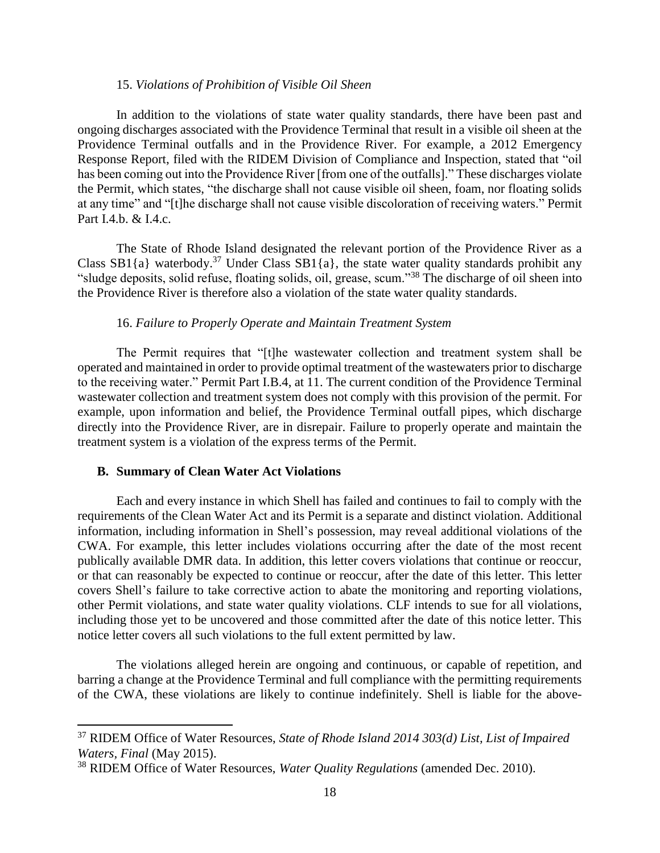#### 15. *Violations of Prohibition of Visible Oil Sheen*

In addition to the violations of state water quality standards, there have been past and ongoing discharges associated with the Providence Terminal that result in a visible oil sheen at the Providence Terminal outfalls and in the Providence River. For example, a 2012 Emergency Response Report, filed with the RIDEM Division of Compliance and Inspection, stated that "oil has been coming out into the Providence River [from one of the outfalls]." These discharges violate the Permit, which states, "the discharge shall not cause visible oil sheen, foam, nor floating solids at any time" and "[t]he discharge shall not cause visible discoloration of receiving waters." Permit Part I.4.b. & I.4.c.

The State of Rhode Island designated the relevant portion of the Providence River as a Class SB1{a} waterbody.<sup>37</sup> Under Class SB1{a}, the state water quality standards prohibit any "sludge deposits, solid refuse, floating solids, oil, grease, scum."<sup>38</sup> The discharge of oil sheen into the Providence River is therefore also a violation of the state water quality standards.

#### 16. *Failure to Properly Operate and Maintain Treatment System*

The Permit requires that "[t]he wastewater collection and treatment system shall be operated and maintained in order to provide optimal treatment of the wastewaters prior to discharge to the receiving water." Permit Part I.B.4, at 11. The current condition of the Providence Terminal wastewater collection and treatment system does not comply with this provision of the permit. For example, upon information and belief, the Providence Terminal outfall pipes, which discharge directly into the Providence River, are in disrepair. Failure to properly operate and maintain the treatment system is a violation of the express terms of the Permit.

#### **B. Summary of Clean Water Act Violations**

 $\overline{\phantom{a}}$ 

Each and every instance in which Shell has failed and continues to fail to comply with the requirements of the Clean Water Act and its Permit is a separate and distinct violation. Additional information, including information in Shell's possession, may reveal additional violations of the CWA. For example, this letter includes violations occurring after the date of the most recent publically available DMR data. In addition, this letter covers violations that continue or reoccur, or that can reasonably be expected to continue or reoccur, after the date of this letter. This letter covers Shell's failure to take corrective action to abate the monitoring and reporting violations, other Permit violations, and state water quality violations. CLF intends to sue for all violations, including those yet to be uncovered and those committed after the date of this notice letter. This notice letter covers all such violations to the full extent permitted by law.

The violations alleged herein are ongoing and continuous, or capable of repetition, and barring a change at the Providence Terminal and full compliance with the permitting requirements of the CWA, these violations are likely to continue indefinitely. Shell is liable for the above-

<sup>37</sup> RIDEM Office of Water Resources, *State of Rhode Island 2014 303(d) List, List of Impaired Waters, Final* (May 2015).

<sup>38</sup> RIDEM Office of Water Resources, *Water Quality Regulations* (amended Dec. 2010).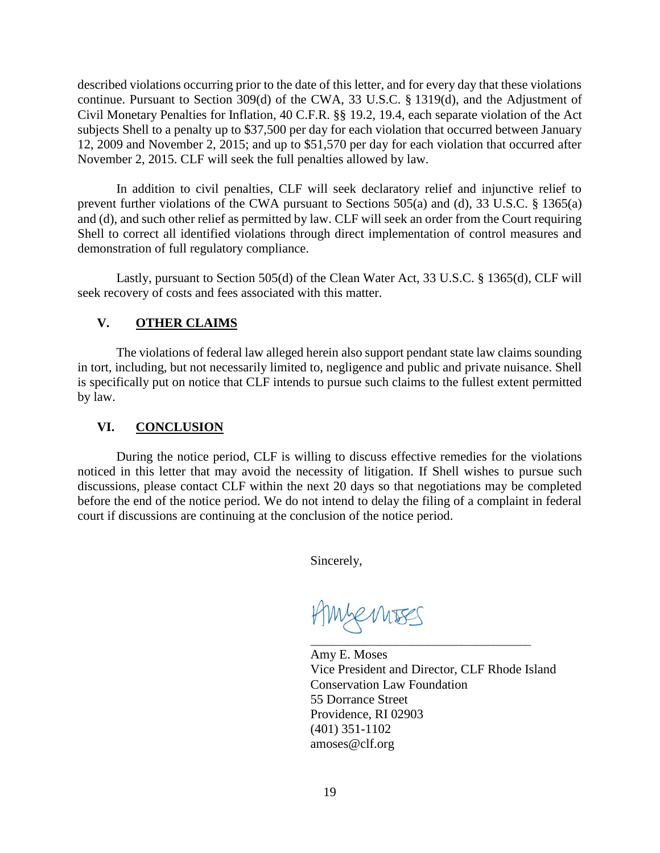described violations occurring prior to the date of this letter, and for every day that these violations continue. Pursuant to Section 309(d) of the CWA, 33 U.S.C. § 1319(d), and the Adjustment of Civil Monetary Penalties for Inflation, 40 C.F.R. §§ 19.2, 19.4, each separate violation of the Act subjects Shell to a penalty up to \$37,500 per day for each violation that occurred between January 12, 2009 and November 2, 2015; and up to \$51,570 per day for each violation that occurred after November 2, 2015. CLF will seek the full penalties allowed by law.

In addition to civil penalties, CLF will seek declaratory relief and injunctive relief to prevent further violations of the CWA pursuant to Sections 505(a) and (d), 33 U.S.C. § 1365(a) and (d), and such other relief as permitted by law. CLF will seek an order from the Court requiring Shell to correct all identified violations through direct implementation of control measures and demonstration of full regulatory compliance.

Lastly, pursuant to Section 505(d) of the Clean Water Act, 33 U.S.C. § 1365(d), CLF will seek recovery of costs and fees associated with this matter.

# **V. OTHER CLAIMS**

The violations of federal law alleged herein also support pendant state law claims sounding in tort, including, but not necessarily limited to, negligence and public and private nuisance. Shell is specifically put on notice that CLF intends to pursue such claims to the fullest extent permitted by law.

# **VI. CONCLUSION**

During the notice period, CLF is willing to discuss effective remedies for the violations noticed in this letter that may avoid the necessity of litigation. If Shell wishes to pursue such discussions, please contact CLF within the next 20 days so that negotiations may be completed before the end of the notice period. We do not intend to delay the filing of a complaint in federal court if discussions are continuing at the conclusion of the notice period.

Sincerely,

Mennses

\_\_\_\_\_\_\_\_\_\_\_\_\_\_\_\_\_\_\_\_\_\_\_\_\_\_\_\_\_\_\_\_\_\_\_\_\_\_\_\_\_ Amy E. Moses Vice President and Director, CLF Rhode Island Conservation Law Foundation 55 Dorrance Street Providence, RI 02903 (401) 351-1102 amoses@clf.org